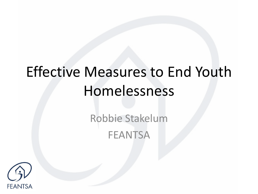# Effective Measures to End Youth Homelessness

Robbie Stakelum **FEANTSA** 

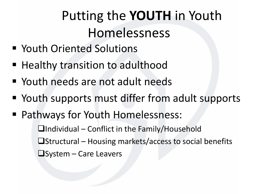## Putting the **YOUTH** in Youth Homelessness

- Youth Oriented Solutions
- Healthy transition to adulthood
- Youth needs are not adult needs
- Youth supports must differ from adult supports
- Pathways for Youth Homelessness: ❑Individual – Conflict in the Family/Household ❑Structural – Housing markets/access to social benefits ❑System – Care Leavers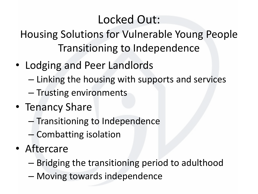#### Locked Out:

Housing Solutions for Vulnerable Young People Transitioning to Independence

- Lodging and Peer Landlords
	- Linking the housing with supports and services
	- Trusting environments
- Tenancy Share
	- Transitioning to Independence
	- Combatting isolation
- Aftercare
	- Bridging the transitioning period to adulthood
	- Moving towards independence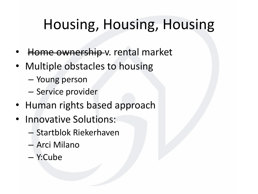## Housing, Housing, Housing

- Home ownership v. rental market
- Multiple obstacles to housing
	- Young person
	- Service provider
- Human rights based approach
- Innovative Solutions:
	- Startblok Riekerhaven
	- Arci Milano
	- Y:Cube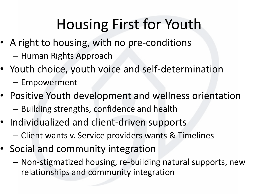# Housing First for Youth

- A right to housing, with no pre-conditions
	- Human Rights Approach
- Youth choice, youth voice and self-determination
	- Empowerment
- Positive Youth development and wellness orientation – Building strengths, confidence and health
- Individualized and client-driven supports
	- Client wants v. Service providers wants & Timelines
- Social and community integration
	- Non-stigmatized housing, re-building natural supports, new relationships and community integration